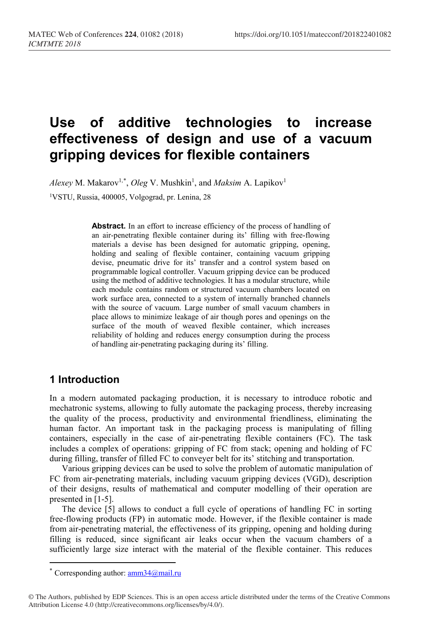# **Use of additive technologies to increase effectiveness of design and use of a vacuum gripping devices for flexible containers**

 $Alexey$  M. Makarov<sup>1,[\\*](#page-0-0)</sup>, *Oleg* V. Mushkin<sup>1</sup>, and *Maksim* A. Lapikov<sup>1</sup>

1VSTU, Russia, 400005, Volgograd, pr. Lenina, 28

Abstract. In an effort to increase efficiency of the process of handling of an air-penetrating flexible container during its' filling with free-flowing materials a devise has been designed for automatic gripping, opening, holding and sealing of flexible container, containing vacuum gripping devise, pneumatic drive for its' transfer and a control system based on programmable logical controller. Vacuum gripping device can be produced using the method of additive technologies. It has a modular structure, while each module contains random or structured vacuum chambers located on work surface area, connected to a system of internally branched channels with the source of vacuum. Large number of small vacuum chambers in place allows to minimize leakage of air though pores and openings on the surface of the mouth of weaved flexible container, which increases reliability of holding and reduces energy consumption during the process of handling air-penetrating packaging during its' filling.

# **1 Introduction**

In a modern automated packaging production, it is necessary to introduce robotic and mechatronic systems, allowing to fully automate the packaging process, thereby increasing the quality of the process, productivity and environmental friendliness, eliminating the human factor. An important task in the packaging process is manipulating of filling containers, especially in the case of air-penetrating flexible containers (FC). The task includes a complex of operations: gripping of FC from stack; opening and holding of FC during filling, transfer of filled FC to conveyer belt for its' stitching and transportation.

Various gripping devices can be used to solve the problem of automatic manipulation of FC from air-penetrating materials, including vacuum gripping devices (VGD), description of their designs, results of mathematical and computer modelling of their operation are presented in [1-5].

The device [5] allows to conduct a full cycle of operations of handling FC in sorting free-flowing products (FP) in automatic mode. However, if the flexible container is made from air-penetrating material, the effectiveness of its gripping, opening and holding during filling is reduced, since significant air leaks occur when the vacuum chambers of a sufficiently large size interact with the material of the flexible container. This reduces

 $\overline{a}$ 

<sup>\*</sup> Corresponding author:  $\frac{amm34}{@mail.ru}$ 

<span id="page-0-0"></span><sup>©</sup> The Authors, published by EDP Sciences. This is an open access article distributed under the terms of the Creative Commons Attribution License 4.0 (http://creativecommons.org/licenses/by/4.0/).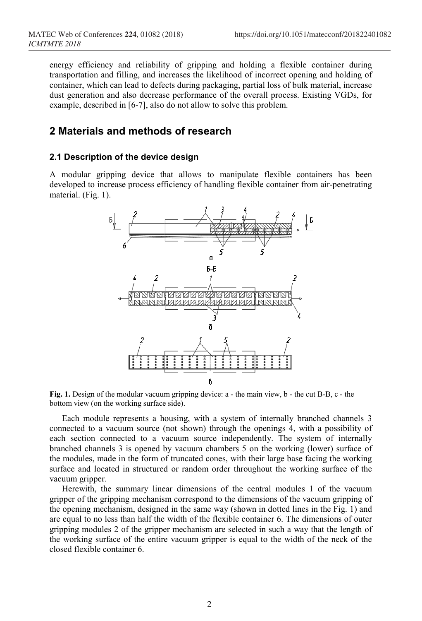energy efficiency and reliability of gripping and holding a flexible container during transportation and filling, and increases the likelihood of incorrect opening and holding of container, which can lead to defects during packaging, partial loss of bulk material, increase dust generation and also decrease performance of the overall process. Existing VGDs, for example, described in [6-7], also do not allow to solve this problem.

## **2 Materials and methods of research**

#### **2.1 Description of the device design**

A modular gripping device that allows to manipulate flexible containers has been developed to increase process efficiency of handling flexible container from air-penetrating material. (Fig. 1).



**Fig. 1.** Design of the modular vacuum gripping device: a - the main view, b - the cut B-B, c - the bottom view (on the working surface side).

Each module represents a housing, with a system of internally branched channels 3 connected to a vacuum source (not shown) through the openings 4, with a possibility of each section connected to a vacuum source independently. The system of internally branched channels 3 is opened by vacuum chambers 5 on the working (lower) surface of the modules, made in the form of truncated cones, with their large base facing the working surface and located in structured or random order throughout the working surface of the vacuum gripper.

Herewith, the summary linear dimensions of the central modules 1 of the vacuum gripper of the gripping mechanism correspond to the dimensions of the vacuum gripping of the opening mechanism, designed in the same way (shown in dotted lines in the Fig. 1) and are equal to no less than half the width of the flexible container 6. The dimensions of outer gripping modules 2 of the gripper mechanism are selected in such a way that the length of the working surface of the entire vacuum gripper is equal to the width of the neck of the closed flexible container 6.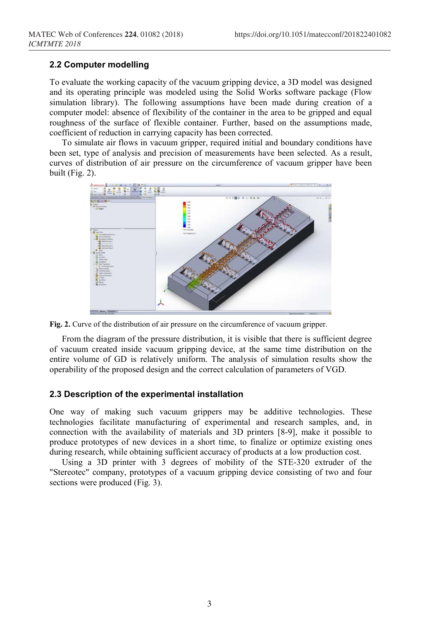#### **2.2 Computer modelling**

To evaluate the working capacity of the vacuum gripping device, a 3D model was designed and its operating principle was modeled using the Solid Works software package (Flow simulation library). The following assumptions have been made during creation of a computer model: absence of flexibility of the container in the area to be gripped and equal roughness of the surface of flexible container. Further, based on the assumptions made, coefficient of reduction in carrying capacity has been corrected.

To simulate air flows in vacuum gripper, required initial and boundary conditions have been set, type of analysis and precision of measurements have been selected. As a result, curves of distribution of air pressure on the circumference of vacuum gripper have been built (Fig. 2).



**Fig. 2.** Curve of the distribution of air pressure on the circumference of vacuum gripper.

From the diagram of the pressure distribution, it is visible that there is sufficient degree of vacuum created inside vacuum gripping device, at the same time distribution on the entire volume of GD is relatively uniform. The analysis of simulation results show the operability of the proposed design and the correct calculation of parameters of VGD.

#### **2.3 Description of the experimental installation**

One way of making such vacuum grippers may be additive technologies. These technologies facilitate manufacturing of experimental and research samples, and, in connection with the availability of materials and 3D printers [8-9], make it possible to produce prototypes of new devices in a short time, to finalize or optimize existing ones during research, while obtaining sufficient accuracy of products at a low production cost.

Using a 3D printer with 3 degrees of mobility of the STE-320 extruder of the "Stereotec" company, prototypes of a vacuum gripping device consisting of two and four sections were produced (Fig. 3).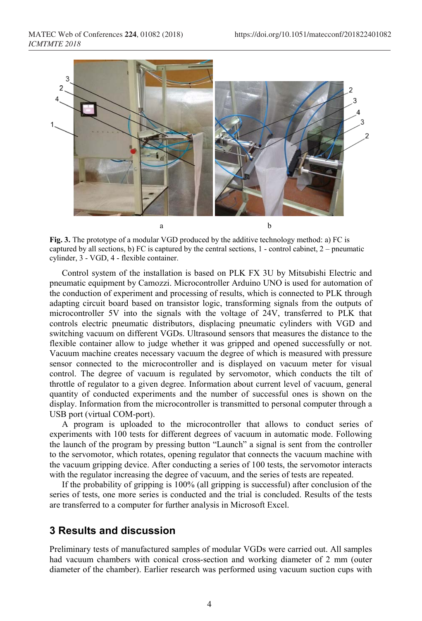

**Fig. 3.** The prototype of a modular VGD produced by the additive technology method: a) FC is captured by all sections, b) FC is captured by the central sections, 1 - control cabinet, 2 – pneumatic cylinder, 3 - VGD, 4 - flexible container.

Control system of the installation is based on PLK FX 3U by Mitsubishi Electric and pneumatic equipment by Camozzi. Microcontroller Arduino UNO is used for automation of the conduction of experiment and processing of results, which is connected to PLK through adapting circuit board based on transistor logic, transforming signals from the outputs of microcontroller 5V into the signals with the voltage of 24V, transferred to PLK that controls electric pneumatic distributors, displacing pneumatic cylinders with VGD and switching vacuum on different VGDs. Ultrasound sensors that measures the distance to the flexible container allow to judge whether it was gripped and opened successfully or not. Vacuum machine creates necessary vacuum the degree of which is measured with pressure sensor connected to the microcontroller and is displayed on vacuum meter for visual control. The degree of vacuum is regulated by servomotor, which conducts the tilt of throttle of regulator to a given degree. Information about current level of vacuum, general quantity of conducted experiments and the number of successful ones is shown on the display. Information from the microcontroller is transmitted to personal computer through a USB port (virtual COM-port).

A program is uploaded to the microcontroller that allows to conduct series of experiments with 100 tests for different degrees of vacuum in automatic mode. Following the launch of the program by pressing button "Launch" a signal is sent from the controller to the servomotor, which rotates, opening regulator that connects the vacuum machine with the vacuum gripping device. After conducting a series of 100 tests, the servomotor interacts with the regulator increasing the degree of vacuum, and the series of tests are repeated.

If the probability of gripping is 100% (all gripping is successful) after conclusion of the series of tests, one more series is conducted and the trial is concluded. Results of the tests are transferred to a computer for further analysis in Microsoft Excel.

# **3 Results and discussion**

Preliminary tests of manufactured samples of modular VGDs were carried out. All samples had vacuum chambers with conical cross-section and working diameter of 2 mm (outer diameter of the chamber). Earlier research was performed using vacuum suction cups with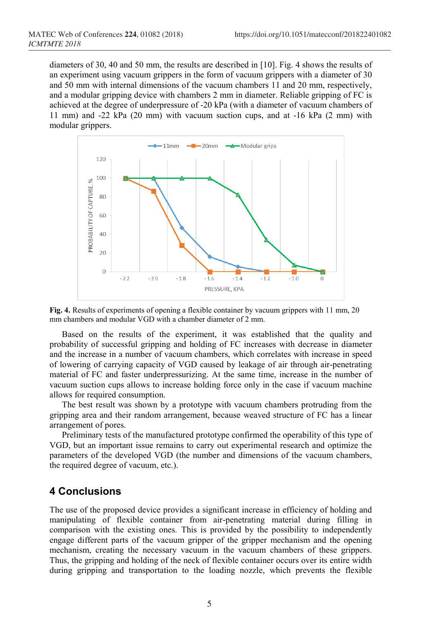diameters of 30, 40 and 50 mm, the results are described in [10]. Fig. 4 shows the results of an experiment using vacuum grippers in the form of vacuum grippers with a diameter of 30 and 50 mm with internal dimensions of the vacuum chambers 11 and 20 mm, respectively, and a modular gripping device with chambers 2 mm in diameter. Reliable gripping of FC is achieved at the degree of underpressure of -20 kPa (with a diameter of vacuum chambers of 11 mm) and -22 kPa (20 mm) with vacuum suction cups, and at -16 kPa (2 mm) with modular grippers.





Based on the results of the experiment, it was established that the quality and probability of successful gripping and holding of FC increases with decrease in diameter and the increase in a number of vacuum chambers, which correlates with increase in speed of lowering of carrying capacity of VGD caused by leakage of air through air-penetrating material of FC and faster underpressurizing. At the same time, increase in the number of vacuum suction cups allows to increase holding force only in the case if vacuum machine allows for required consumption.

The best result was shown by a prototype with vacuum chambers protruding from the gripping area and their random arrangement, because weaved structure of FC has a linear arrangement of pores.

Preliminary tests of the manufactured prototype confirmed the operability of this type of VGD, but an important issue remains to carry out experimental research and optimize the parameters of the developed VGD (the number and dimensions of the vacuum chambers, the required degree of vacuum, etc.).

## **4 Conclusions**

The use of the proposed device provides a significant increase in efficiency of holding and manipulating of flexible container from air-penetrating material during filling in comparison with the existing ones. This is provided by the possibility to independently engage different parts of the vacuum gripper of the gripper mechanism and the opening mechanism, creating the necessary vacuum in the vacuum chambers of these grippers. Thus, the gripping and holding of the neck of flexible container occurs over its entire width during gripping and transportation to the loading nozzle, which prevents the flexible